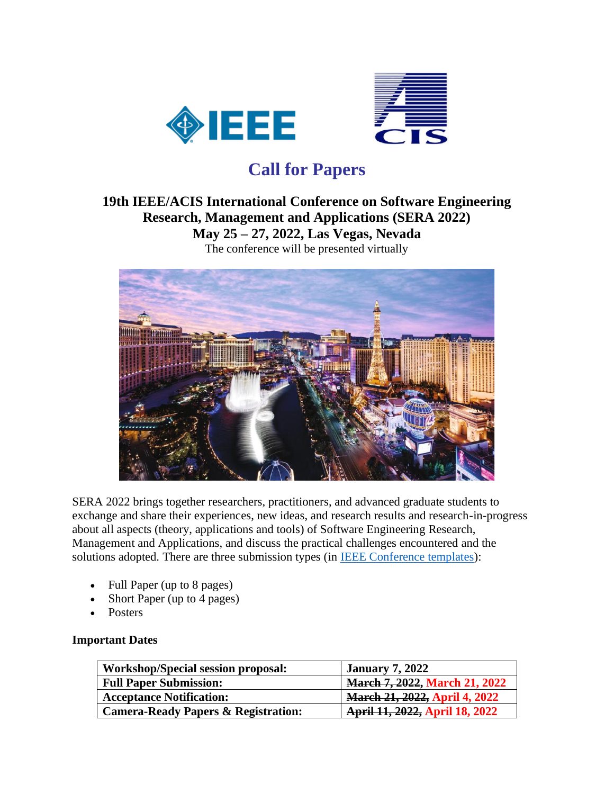



# **Call for Papers**

# **19th IEEE/ACIS International Conference on Software Engineering Research, Management and Applications (SERA 2022) May 25 – 27, 2022, Las Vegas, Nevada**

The conference will be presented virtually



SERA 2022 brings together researchers, practitioners, and advanced graduate students to exchange and share their experiences, new ideas, and research results and research-in-progress about all aspects (theory, applications and tools) of Software Engineering Research, Management and Applications, and discuss the practical challenges encountered and the solutions adopted. There are three submission types (in **IEEE Conference templates**):

- Full Paper (up to 8 pages)
- Short Paper (up to 4 pages)
- **Posters**

# **Important Dates**

| Workshop/Special session proposal:             | <b>January 7, 2022</b>               |
|------------------------------------------------|--------------------------------------|
| <b>Full Paper Submission:</b>                  | <b>March 7, 2022, March 21, 2022</b> |
| <b>Acceptance Notification:</b>                | <b>March 21, 2022, April 4, 2022</b> |
| <b>Camera-Ready Papers &amp; Registration:</b> | April 11, 2022, April 18, 2022       |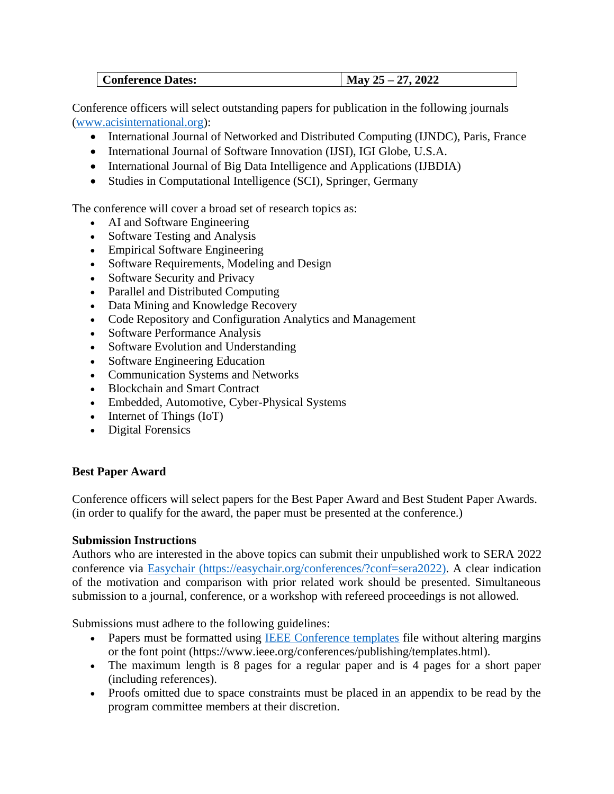| <b>Conference Dates:</b> | 2022<br>חר<br><b>May</b><br>$\overline{L}$<br><u>,</u> |
|--------------------------|--------------------------------------------------------|
|--------------------------|--------------------------------------------------------|

Conference officers will select outstanding papers for publication in the following journals [\(www.acisinternational.org\)](http://www.acisinternational.org/):

- International Journal of Networked and Distributed Computing (IJNDC), Paris, France
- International Journal of Software Innovation (IJSI), IGI Globe, U.S.A.
- International Journal of Big Data Intelligence and Applications (IJBDIA)
- Studies in Computational Intelligence (SCI), Springer, Germany

The conference will cover a broad set of research topics as:

- AI and Software Engineering
- Software Testing and Analysis
- Empirical Software Engineering
- Software Requirements, Modeling and Design
- Software Security and Privacy
- Parallel and Distributed Computing
- Data Mining and Knowledge Recovery
- Code Repository and Configuration Analytics and Management
- Software Performance Analysis
- Software Evolution and Understanding
- Software Engineering Education
- Communication Systems and Networks
- Blockchain and Smart Contract
- Embedded, Automotive, Cyber-Physical Systems
- Internet of Things (IoT)
- Digital Forensics

# **Best Paper Award**

Conference officers will select papers for the Best Paper Award and Best Student Paper Awards. (in order to qualify for the award, the paper must be presented at the conference.)

# **Submission Instructions**

Authors who are interested in the above topics can submit their unpublished work to SERA 2022 conference via [Easychair](https://easychair.org/conferences/?conf=sera2022) (https://easychair.org/conferences/?conf=sera2022). A clear indication of the motivation and comparison with prior related work should be presented. Simultaneous submission to a journal, conference, or a workshop with refereed proceedings is not allowed.

Submissions must adhere to the following guidelines:

- Papers must be formatted using **IEEE** Conference templates file without altering margins or the font point (https://www.ieee.org/conferences/publishing/templates.html).
- The maximum length is 8 pages for a regular paper and is 4 pages for a short paper (including references).
- Proofs omitted due to space constraints must be placed in an appendix to be read by the program committee members at their discretion.